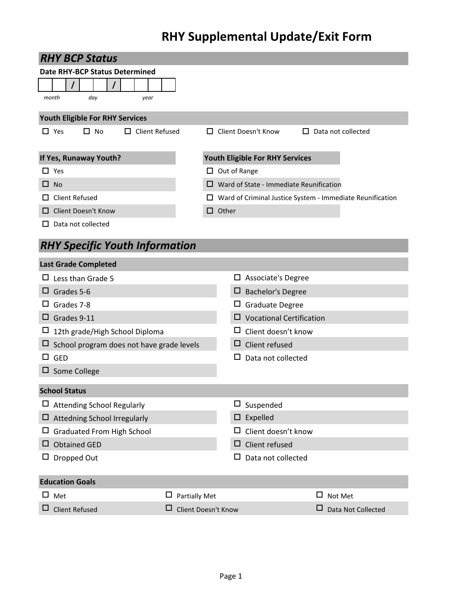## **RHY Supplemental Update/Exit Form**

|              | <b>RHY BCP Status</b>                            |                                |                     |        |                                                |        |                                                                  |
|--------------|--------------------------------------------------|--------------------------------|---------------------|--------|------------------------------------------------|--------|------------------------------------------------------------------|
|              | Date RHY-BCP Status Determined                   |                                |                     |        |                                                |        |                                                                  |
|              |                                                  |                                |                     |        |                                                |        |                                                                  |
|              | month<br>day<br>year                             |                                |                     |        |                                                |        |                                                                  |
|              | <b>Youth Eligible For RHY Services</b>           |                                |                     |        |                                                |        |                                                                  |
|              | $\Box$ Yes<br>$\Box$ No<br>$\Box$ Client Refused |                                |                     |        | $\Box$ Client Doesn't Know                     |        | $\Box$ Data not collected                                        |
|              | If Yes, Runaway Youth?                           |                                |                     |        | Youth Eligible For RHY Services                |        |                                                                  |
|              | $\Box$ Yes                                       |                                | $\Box$ Out of Range |        |                                                |        |                                                                  |
| ப            | - No                                             |                                |                     |        | $\Box$ Ward of State - Immediate Reunification |        |                                                                  |
| $\mathsf{L}$ | <b>Client Refused</b>                            |                                |                     |        |                                                |        | $\Box$ Ward of Criminal Justice System - Immediate Reunification |
| ப            | <b>Client Doesn't Know</b>                       |                                | $\Box$ Other        |        |                                                |        |                                                                  |
| $\mathsf{L}$ | Data not collected                               |                                |                     |        |                                                |        |                                                                  |
|              | <b>RHY Specific Youth Information</b>            |                                |                     |        |                                                |        |                                                                  |
|              | <b>Last Grade Completed</b>                      |                                |                     |        |                                                |        |                                                                  |
|              | $\Box$ Less than Grade 5                         |                                |                     |        | $\Box$ Associate's Degree                      |        |                                                                  |
|              | $\Box$ Grades 5-6                                |                                |                     |        | <b>Bachelor's Degree</b>                       |        |                                                                  |
| ப            | Grades 7-8                                       |                                |                     | ப      | Graduate Degree                                |        |                                                                  |
|              | $\Box$ Grades 9-11                               |                                |                     |        | <b>Vocational Certification</b>                |        |                                                                  |
| ц            | 12th grade/High School Diploma                   |                                |                     |        | Client doesn't know                            |        |                                                                  |
| ⊔            | School program does not have grade levels        |                                |                     | ப      | Client refused                                 |        |                                                                  |
|              | $\Box$ GED                                       |                                |                     |        | Data not collected                             |        |                                                                  |
|              | $\Box$ Some College                              |                                |                     |        |                                                |        |                                                                  |
|              | <b>School Status</b>                             |                                |                     |        |                                                |        |                                                                  |
|              | $\Box$ Attending School Regularly                |                                |                     | $\Box$ | Suspended                                      |        |                                                                  |
| □            | <b>Attedning School Irregularly</b>              |                                |                     | □      | Expelled                                       |        |                                                                  |
| ப            | <b>Graduated From High School</b>                |                                |                     |        | Client doesn't know                            |        |                                                                  |
| ப            | <b>Obtained GED</b>                              |                                |                     | □      | Client refused                                 |        |                                                                  |
|              | Dropped Out                                      |                                |                     | □      | Data not collected                             |        |                                                                  |
|              | <b>Education Goals</b>                           |                                |                     |        |                                                |        |                                                                  |
| □            | Met                                              | $\Box$<br><b>Partially Met</b> |                     |        |                                                | $\Box$ | Not Met                                                          |
|              | <b>Client Refused</b>                            | ⊔                              | Client Doesn't Know |        |                                                | ப      | Data Not Collected                                               |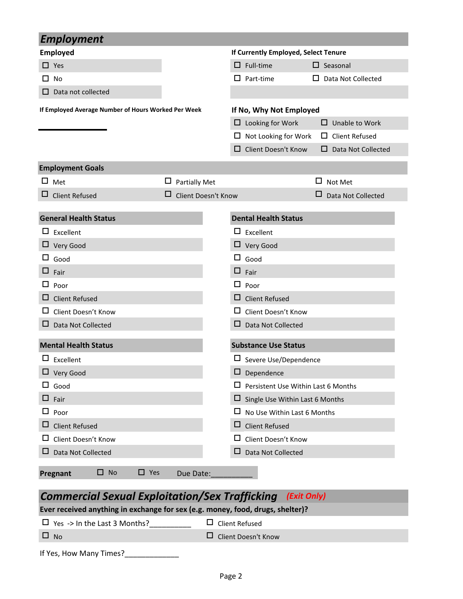| <b>Employment</b>                                          |                                |                            |                                            |                           |
|------------------------------------------------------------|--------------------------------|----------------------------|--------------------------------------------|---------------------------|
| <b>Employed</b>                                            |                                |                            | If Currently Employed, Select Tenure       |                           |
| $\Box$ Yes                                                 |                                |                            | $\Box$ Full-time                           | $\square$ Seasonal        |
| □ No                                                       |                                |                            | $\Box$ Part-time                           | Data Not Collected<br>ப   |
| Data not collected                                         |                                |                            |                                            |                           |
| If Employed Average Number of Hours Worked Per Week        |                                |                            | If No, Why Not Employed                    |                           |
|                                                            |                                |                            | $\Box$ Looking for Work                    | $\Box$ Unable to Work     |
|                                                            |                                |                            | $\Box$ Not Looking for Work                | $\Box$ Client Refused     |
|                                                            |                                | □                          | Client Doesn't Know                        | $\Box$ Data Not Collected |
| <b>Employment Goals</b>                                    |                                |                            |                                            |                           |
| ப<br>Met                                                   | $\Box$<br><b>Partially Met</b> |                            |                                            | □<br>Not Met              |
| □<br><b>Client Refused</b>                                 | □                              | <b>Client Doesn't Know</b> |                                            | Data Not Collected        |
|                                                            |                                |                            |                                            |                           |
| <b>General Health Status</b>                               |                                |                            | <b>Dental Health Status</b>                |                           |
| $\Box$ Excellent                                           |                                |                            | $\Box$ Excellent                           |                           |
| $\Box$ Very Good                                           |                                |                            | $\Box$ Very Good                           |                           |
| □<br>Good                                                  |                                |                            | $\Box$ Good                                |                           |
| Fair                                                       |                                |                            | $\Box$ Fair                                |                           |
| ப<br>Poor                                                  |                                |                            | $\Box$ Poor                                |                           |
| <b>Client Refused</b><br>ப                                 |                                | □                          | <b>Client Refused</b>                      |                           |
| Client Doesn't Know<br>ப                                   |                                | ப                          | Client Doesn't Know                        |                           |
| Data Not Collected                                         |                                | □                          | Data Not Collected                         |                           |
| <b>Mental Health Status</b>                                |                                |                            | <b>Substance Use Status</b>                |                           |
| Excellent                                                  |                                |                            | $\Box$ Severe Use/Dependence               |                           |
| □ Very Good                                                |                                |                            | $\Box$ Dependence                          |                           |
| $\Box$ Good                                                |                                |                            | $\Box$ Persistent Use Within Last 6 Months |                           |
| ப<br>Fair                                                  |                                | $\Box$                     | Single Use Within Last 6 Months            |                           |
| ப<br>Poor                                                  |                                |                            | $\Box$ No Use Within Last 6 Months         |                           |
| <b>Client Refused</b><br>ப                                 |                                | □                          | <b>Client Refused</b>                      |                           |
| Client Doesn't Know<br>ப                                   |                                | ш                          | Client Doesn't Know                        |                           |
| Data Not Collected                                         |                                | ⊔                          | Data Not Collected                         |                           |
| $\square$ No<br>$\Box$ Yes<br>Pregnant                     | Due Date:                      |                            |                                            |                           |
| Commorcial Covual Evaloitation/Cov Trafficking (Evit Only) |                                |                            |                                            |                           |

## *Commercial Sexual Exploitation/Sex Trafficking (Exit Only)*

**Ever received anything in exchange for sex (e.g. money, food, drugs, shelter)?**

 $\Box$  Yes -> In the Last 3 Months?\_\_\_\_\_\_\_\_\_\_\_\_\_  $\Box$  Client Refused No Client Doesn't Know

| If Yes, How Many Times? |  |
|-------------------------|--|
|                         |  |